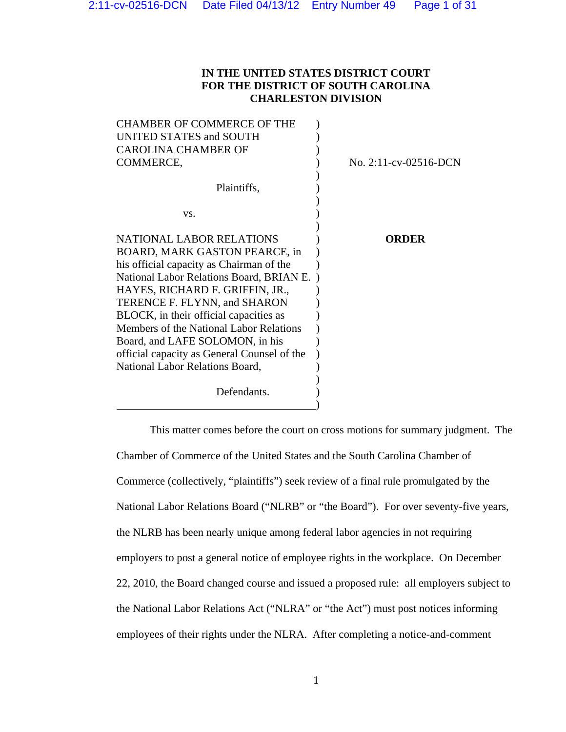# **IN THE UNITED STATES DISTRICT COURT FOR THE DISTRICT OF SOUTH CAROLINA CHARLESTON DIVISION**

| <b>CHAMBER OF COMMERCE OF THE</b>           |                          |
|---------------------------------------------|--------------------------|
| UNITED STATES and SOUTH                     |                          |
| <b>CAROLINA CHAMBER OF</b>                  |                          |
| COMMERCE,                                   | No. $2:11$ -cv-02516-DCN |
|                                             |                          |
| Plaintiffs,                                 |                          |
|                                             |                          |
| VS.                                         |                          |
|                                             |                          |
| <b>NATIONAL LABOR RELATIONS</b>             | ORDER                    |
| BOARD, MARK GASTON PEARCE, in               |                          |
| his official capacity as Chairman of the    |                          |
| National Labor Relations Board, BRIAN E.    |                          |
| HAYES, RICHARD F. GRIFFIN, JR.,             |                          |
| TERENCE F. FLYNN, and SHARON                |                          |
| BLOCK, in their official capacities as      |                          |
| Members of the National Labor Relations     |                          |
| Board, and LAFE SOLOMON, in his             |                          |
| official capacity as General Counsel of the |                          |
| <b>National Labor Relations Board,</b>      |                          |
| Defendants.                                 |                          |
|                                             |                          |

This matter comes before the court on cross motions for summary judgment. The Chamber of Commerce of the United States and the South Carolina Chamber of Commerce (collectively, "plaintiffs") seek review of a final rule promulgated by the National Labor Relations Board ("NLRB" or "the Board"). For over seventy-five years, the NLRB has been nearly unique among federal labor agencies in not requiring employers to post a general notice of employee rights in the workplace. On December 22, 2010, the Board changed course and issued a proposed rule: all employers subject to the National Labor Relations Act ("NLRA" or "the Act") must post notices informing employees of their rights under the NLRA. After completing a notice-and-comment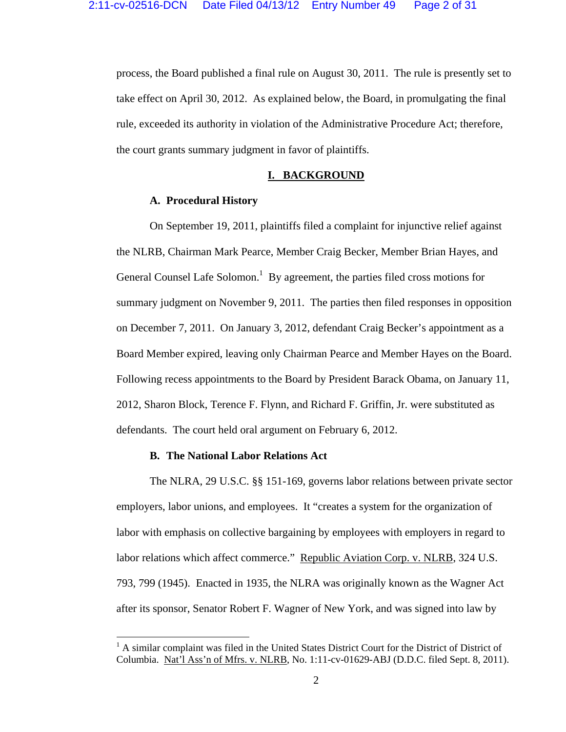process, the Board published a final rule on August 30, 2011. The rule is presently set to take effect on April 30, 2012. As explained below, the Board, in promulgating the final rule, exceeded its authority in violation of the Administrative Procedure Act; therefore, the court grants summary judgment in favor of plaintiffs.

## **I. BACKGROUND**

# **A. Procedural History**

 On September 19, 2011, plaintiffs filed a complaint for injunctive relief against the NLRB, Chairman Mark Pearce, Member Craig Becker, Member Brian Hayes, and General Counsel Lafe Solomon.<sup>1</sup> By agreement, the parties filed cross motions for summary judgment on November 9, 2011. The parties then filed responses in opposition on December 7, 2011. On January 3, 2012, defendant Craig Becker's appointment as a Board Member expired, leaving only Chairman Pearce and Member Hayes on the Board. Following recess appointments to the Board by President Barack Obama, on January 11, 2012, Sharon Block, Terence F. Flynn, and Richard F. Griffin, Jr. were substituted as defendants. The court held oral argument on February 6, 2012.

### **B. The National Labor Relations Act**

 The NLRA, 29 U.S.C. §§ 151-169, governs labor relations between private sector employers, labor unions, and employees. It "creates a system for the organization of labor with emphasis on collective bargaining by employees with employers in regard to labor relations which affect commerce." Republic Aviation Corp. v. NLRB, 324 U.S. 793, 799 (1945). Enacted in 1935, the NLRA was originally known as the Wagner Act after its sponsor, Senator Robert F. Wagner of New York, and was signed into law by

<sup>&</sup>lt;sup>1</sup> A similar complaint was filed in the United States District Court for the District of District of Columbia. Nat'l Ass'n of Mfrs. v. NLRB, No. 1:11-cv-01629-ABJ (D.D.C. filed Sept. 8, 2011).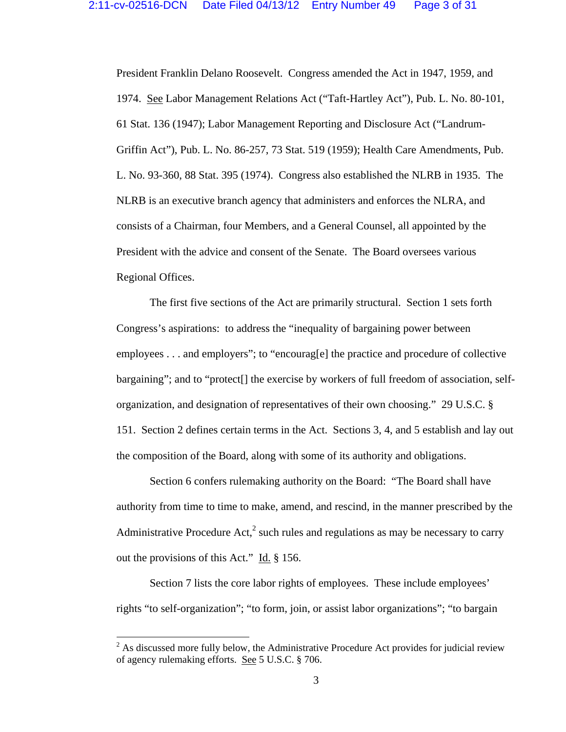President Franklin Delano Roosevelt. Congress amended the Act in 1947, 1959, and 1974. See Labor Management Relations Act ("Taft-Hartley Act"), Pub. L. No. 80-101, 61 Stat. 136 (1947); Labor Management Reporting and Disclosure Act ("Landrum-Griffin Act"), Pub. L. No. 86-257, 73 Stat. 519 (1959); Health Care Amendments, Pub. L. No. 93-360, 88 Stat. 395 (1974). Congress also established the NLRB in 1935. The NLRB is an executive branch agency that administers and enforces the NLRA, and consists of a Chairman, four Members, and a General Counsel, all appointed by the President with the advice and consent of the Senate. The Board oversees various Regional Offices.

 The first five sections of the Act are primarily structural. Section 1 sets forth Congress's aspirations: to address the "inequality of bargaining power between employees . . . and employers"; to "encourag[e] the practice and procedure of collective bargaining"; and to "protect[] the exercise by workers of full freedom of association, selforganization, and designation of representatives of their own choosing." 29 U.S.C. § 151. Section 2 defines certain terms in the Act. Sections 3, 4, and 5 establish and lay out the composition of the Board, along with some of its authority and obligations.

 Section 6 confers rulemaking authority on the Board: "The Board shall have authority from time to time to make, amend, and rescind, in the manner prescribed by the Administrative Procedure Act,<sup>2</sup> such rules and regulations as may be necessary to carry out the provisions of this Act." Id.  $\S$  156.

 Section 7 lists the core labor rights of employees. These include employees' rights "to self-organization"; "to form, join, or assist labor organizations"; "to bargain

 $2^{2}$  As discussed more fully below, the Administrative Procedure Act provides for judicial review of agency rulemaking efforts. See 5 U.S.C. § 706.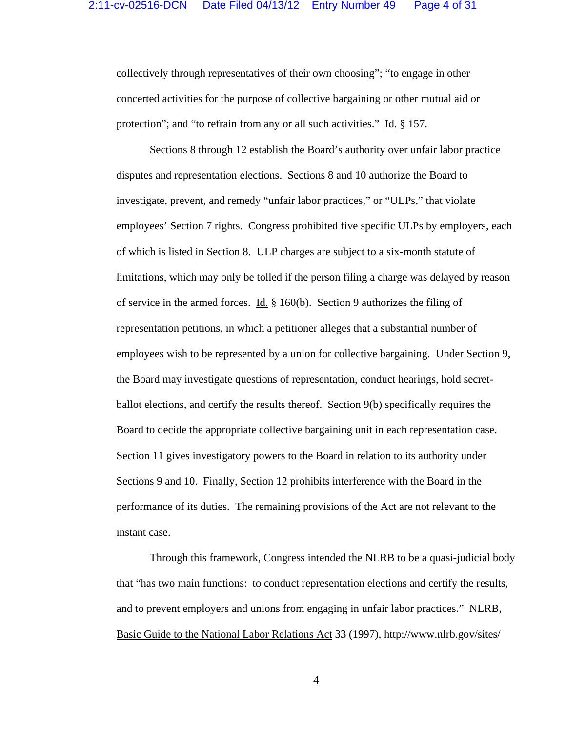collectively through representatives of their own choosing"; "to engage in other concerted activities for the purpose of collective bargaining or other mutual aid or protection"; and "to refrain from any or all such activities." Id. § 157.

 Sections 8 through 12 establish the Board's authority over unfair labor practice disputes and representation elections. Sections 8 and 10 authorize the Board to investigate, prevent, and remedy "unfair labor practices," or "ULPs," that violate employees' Section 7 rights. Congress prohibited five specific ULPs by employers, each of which is listed in Section 8. ULP charges are subject to a six-month statute of limitations, which may only be tolled if the person filing a charge was delayed by reason of service in the armed forces. Id.  $\S$  160(b). Section 9 authorizes the filing of representation petitions, in which a petitioner alleges that a substantial number of employees wish to be represented by a union for collective bargaining. Under Section 9, the Board may investigate questions of representation, conduct hearings, hold secretballot elections, and certify the results thereof. Section 9(b) specifically requires the Board to decide the appropriate collective bargaining unit in each representation case. Section 11 gives investigatory powers to the Board in relation to its authority under Sections 9 and 10. Finally, Section 12 prohibits interference with the Board in the performance of its duties. The remaining provisions of the Act are not relevant to the instant case.

 Through this framework, Congress intended the NLRB to be a quasi-judicial body that "has two main functions: to conduct representation elections and certify the results, and to prevent employers and unions from engaging in unfair labor practices." NLRB, Basic Guide to the National Labor Relations Act 33 (1997), http://www.nlrb.gov/sites/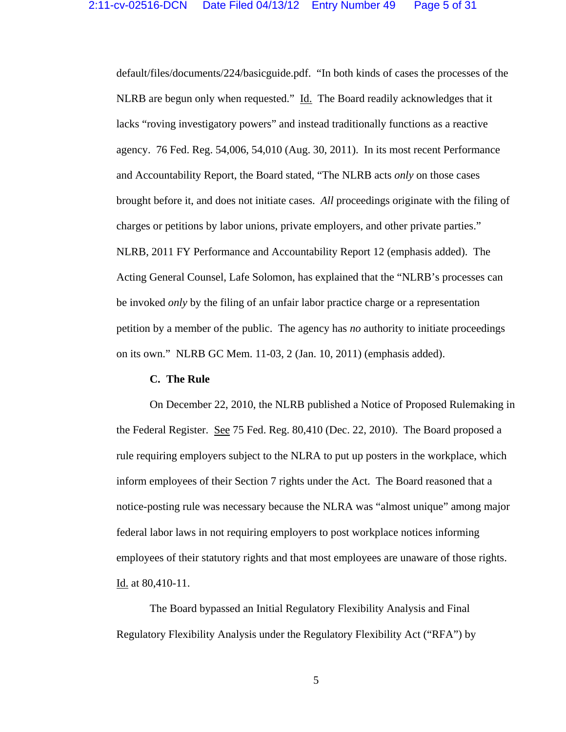default/files/documents/224/basicguide.pdf. "In both kinds of cases the processes of the NLRB are begun only when requested." Id. The Board readily acknowledges that it lacks "roving investigatory powers" and instead traditionally functions as a reactive agency. 76 Fed. Reg. 54,006, 54,010 (Aug. 30, 2011). In its most recent Performance and Accountability Report, the Board stated, "The NLRB acts *only* on those cases brought before it, and does not initiate cases. *All* proceedings originate with the filing of charges or petitions by labor unions, private employers, and other private parties." NLRB, 2011 FY Performance and Accountability Report 12 (emphasis added). The Acting General Counsel, Lafe Solomon, has explained that the "NLRB's processes can be invoked *only* by the filing of an unfair labor practice charge or a representation petition by a member of the public. The agency has *no* authority to initiate proceedings on its own." NLRB GC Mem. 11-03, 2 (Jan. 10, 2011) (emphasis added).

### **C. The Rule**

On December 22, 2010, the NLRB published a Notice of Proposed Rulemaking in the Federal Register. See 75 Fed. Reg. 80,410 (Dec. 22, 2010). The Board proposed a rule requiring employers subject to the NLRA to put up posters in the workplace, which inform employees of their Section 7 rights under the Act. The Board reasoned that a notice-posting rule was necessary because the NLRA was "almost unique" among major federal labor laws in not requiring employers to post workplace notices informing employees of their statutory rights and that most employees are unaware of those rights. Id. at 80,410-11.

 The Board bypassed an Initial Regulatory Flexibility Analysis and Final Regulatory Flexibility Analysis under the Regulatory Flexibility Act ("RFA") by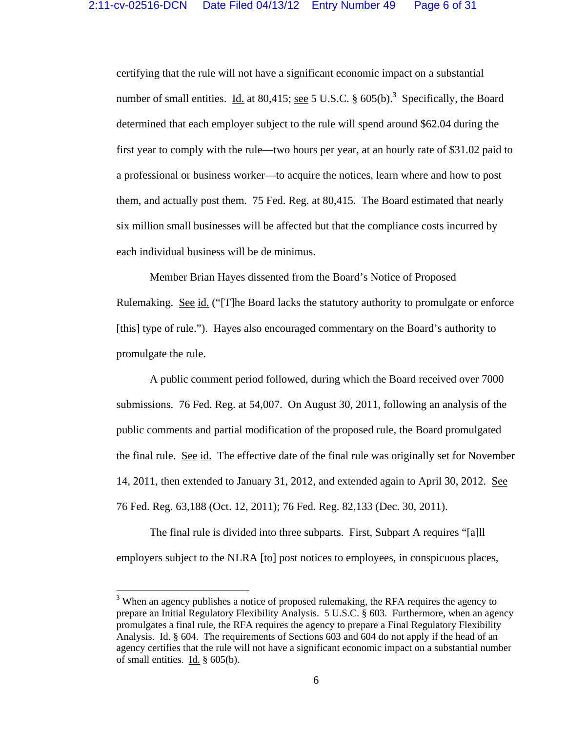certifying that the rule will not have a significant economic impact on a substantial number of small entities. Id. at 80,415; <u>see</u> 5 U.S.C.  $\S$  605(b).<sup>3</sup> Specifically, the Board determined that each employer subject to the rule will spend around \$62.04 during the first year to comply with the rule—two hours per year, at an hourly rate of \$31.02 paid to a professional or business worker—to acquire the notices, learn where and how to post them, and actually post them. 75 Fed. Reg. at 80,415. The Board estimated that nearly six million small businesses will be affected but that the compliance costs incurred by each individual business will be de minimus.

 Member Brian Hayes dissented from the Board's Notice of Proposed Rulemaking. See id. ("[T]he Board lacks the statutory authority to promulgate or enforce [this] type of rule."). Hayes also encouraged commentary on the Board's authority to promulgate the rule.

 A public comment period followed, during which the Board received over 7000 submissions. 76 Fed. Reg. at 54,007. On August 30, 2011, following an analysis of the public comments and partial modification of the proposed rule, the Board promulgated the final rule. See id. The effective date of the final rule was originally set for November 14, 2011, then extended to January 31, 2012, and extended again to April 30, 2012. See 76 Fed. Reg. 63,188 (Oct. 12, 2011); 76 Fed. Reg. 82,133 (Dec. 30, 2011).

 The final rule is divided into three subparts. First, Subpart A requires "[a]ll employers subject to the NLRA [to] post notices to employees, in conspicuous places,

 $3$  When an agency publishes a notice of proposed rulemaking, the RFA requires the agency to prepare an Initial Regulatory Flexibility Analysis. 5 U.S.C. § 603. Furthermore, when an agency promulgates a final rule, the RFA requires the agency to prepare a Final Regulatory Flexibility Analysis. Id. § 604. The requirements of Sections 603 and 604 do not apply if the head of an agency certifies that the rule will not have a significant economic impact on a substantial number of small entities. Id.  $\S$  605(b).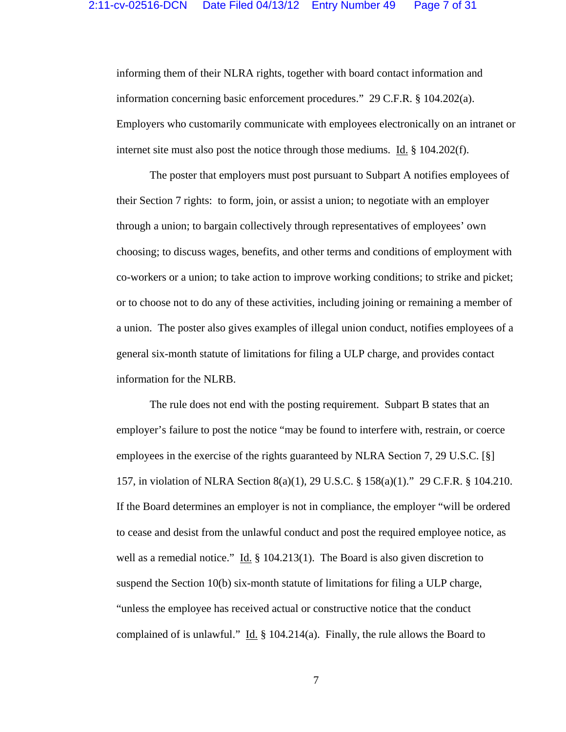informing them of their NLRA rights, together with board contact information and information concerning basic enforcement procedures." 29 C.F.R. § 104.202(a). Employers who customarily communicate with employees electronically on an intranet or internet site must also post the notice through those mediums. Id. § 104.202(f).

 The poster that employers must post pursuant to Subpart A notifies employees of their Section 7 rights: to form, join, or assist a union; to negotiate with an employer through a union; to bargain collectively through representatives of employees' own choosing; to discuss wages, benefits, and other terms and conditions of employment with co-workers or a union; to take action to improve working conditions; to strike and picket; or to choose not to do any of these activities, including joining or remaining a member of a union. The poster also gives examples of illegal union conduct, notifies employees of a general six-month statute of limitations for filing a ULP charge, and provides contact information for the NLRB.

 The rule does not end with the posting requirement. Subpart B states that an employer's failure to post the notice "may be found to interfere with, restrain, or coerce employees in the exercise of the rights guaranteed by NLRA Section 7, 29 U.S.C. [§] 157, in violation of NLRA Section 8(a)(1), 29 U.S.C. § 158(a)(1)." 29 C.F.R. § 104.210. If the Board determines an employer is not in compliance, the employer "will be ordered to cease and desist from the unlawful conduct and post the required employee notice, as well as a remedial notice." Id.  $\S$  104.213(1). The Board is also given discretion to suspend the Section 10(b) six-month statute of limitations for filing a ULP charge, "unless the employee has received actual or constructive notice that the conduct complained of is unlawful." Id.  $\S$  104.214(a). Finally, the rule allows the Board to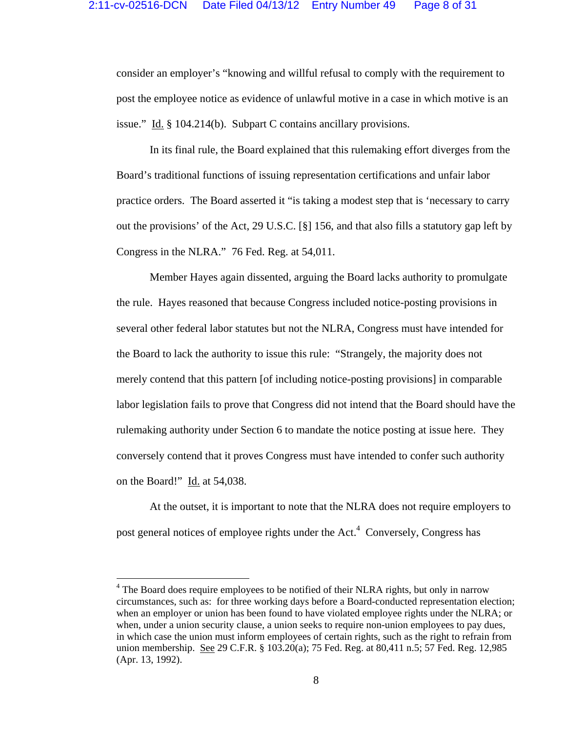consider an employer's "knowing and willful refusal to comply with the requirement to post the employee notice as evidence of unlawful motive in a case in which motive is an issue." Id. § 104.214(b). Subpart C contains ancillary provisions.

 In its final rule, the Board explained that this rulemaking effort diverges from the Board's traditional functions of issuing representation certifications and unfair labor practice orders. The Board asserted it "is taking a modest step that is 'necessary to carry out the provisions' of the Act, 29 U.S.C. [§] 156, and that also fills a statutory gap left by Congress in the NLRA." 76 Fed. Reg. at 54,011.

 Member Hayes again dissented, arguing the Board lacks authority to promulgate the rule. Hayes reasoned that because Congress included notice-posting provisions in several other federal labor statutes but not the NLRA, Congress must have intended for the Board to lack the authority to issue this rule: "Strangely, the majority does not merely contend that this pattern [of including notice-posting provisions] in comparable labor legislation fails to prove that Congress did not intend that the Board should have the rulemaking authority under Section 6 to mandate the notice posting at issue here. They conversely contend that it proves Congress must have intended to confer such authority on the Board!" Id. at 54,038.

 At the outset, it is important to note that the NLRA does not require employers to post general notices of employee rights under the Act. $4$  Conversely, Congress has

<sup>&</sup>lt;sup>4</sup> The Board does require employees to be notified of their NLRA rights, but only in narrow circumstances, such as: for three working days before a Board-conducted representation election; when an employer or union has been found to have violated employee rights under the NLRA; or when, under a union security clause, a union seeks to require non-union employees to pay dues, in which case the union must inform employees of certain rights, such as the right to refrain from union membership. See 29 C.F.R. § 103.20(a); 75 Fed. Reg. at 80,411 n.5; 57 Fed. Reg. 12,985 (Apr. 13, 1992).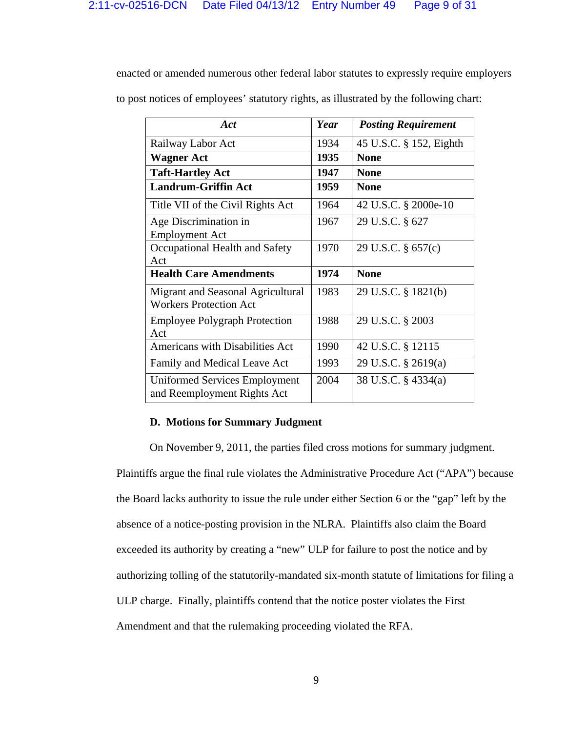enacted or amended numerous other federal labor statutes to expressly require employers

to post notices of employees' statutory rights, as illustrated by the following chart:

| Act                                                                 | Year | <b>Posting Requirement</b> |
|---------------------------------------------------------------------|------|----------------------------|
| Railway Labor Act                                                   | 1934 | 45 U.S.C. § 152, Eighth    |
| <b>Wagner Act</b>                                                   | 1935 | <b>None</b>                |
| <b>Taft-Hartley Act</b>                                             | 1947 | <b>None</b>                |
| <b>Landrum-Griffin Act</b>                                          | 1959 | <b>None</b>                |
| Title VII of the Civil Rights Act                                   | 1964 | 42 U.S.C. § 2000e-10       |
| Age Discrimination in<br><b>Employment Act</b>                      | 1967 | 29 U.S.C. § 627            |
| Occupational Health and Safety<br>Act                               | 1970 | 29 U.S.C. § 657(c)         |
| <b>Health Care Amendments</b>                                       | 1974 | <b>None</b>                |
| Migrant and Seasonal Agricultural<br><b>Workers Protection Act</b>  | 1983 | 29 U.S.C. § 1821(b)        |
| <b>Employee Polygraph Protection</b><br>Act                         | 1988 | 29 U.S.C. § 2003           |
| <b>Americans with Disabilities Act</b>                              | 1990 | 42 U.S.C. § 12115          |
| Family and Medical Leave Act                                        | 1993 | 29 U.S.C. § 2619(a)        |
| <b>Uniformed Services Employment</b><br>and Reemployment Rights Act | 2004 | 38 U.S.C. § 4334(a)        |

## **D. Motions for Summary Judgment**

 On November 9, 2011, the parties filed cross motions for summary judgment. Plaintiffs argue the final rule violates the Administrative Procedure Act ("APA") because the Board lacks authority to issue the rule under either Section 6 or the "gap" left by the absence of a notice-posting provision in the NLRA. Plaintiffs also claim the Board exceeded its authority by creating a "new" ULP for failure to post the notice and by authorizing tolling of the statutorily-mandated six-month statute of limitations for filing a ULP charge. Finally, plaintiffs contend that the notice poster violates the First Amendment and that the rulemaking proceeding violated the RFA.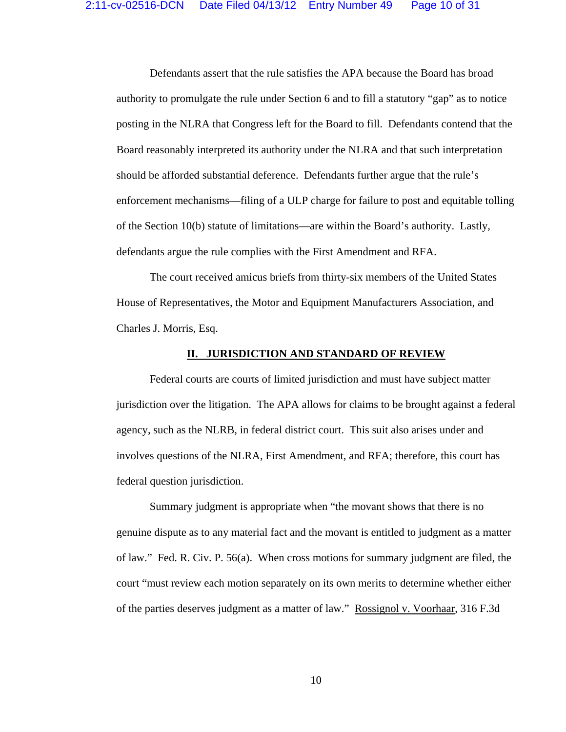Defendants assert that the rule satisfies the APA because the Board has broad authority to promulgate the rule under Section 6 and to fill a statutory "gap" as to notice posting in the NLRA that Congress left for the Board to fill. Defendants contend that the Board reasonably interpreted its authority under the NLRA and that such interpretation should be afforded substantial deference. Defendants further argue that the rule's enforcement mechanisms—filing of a ULP charge for failure to post and equitable tolling of the Section 10(b) statute of limitations—are within the Board's authority. Lastly, defendants argue the rule complies with the First Amendment and RFA.

 The court received amicus briefs from thirty-six members of the United States House of Representatives, the Motor and Equipment Manufacturers Association, and Charles J. Morris, Esq.

#### **II. JURISDICTION AND STANDARD OF REVIEW**

 Federal courts are courts of limited jurisdiction and must have subject matter jurisdiction over the litigation. The APA allows for claims to be brought against a federal agency, such as the NLRB, in federal district court. This suit also arises under and involves questions of the NLRA, First Amendment, and RFA; therefore, this court has federal question jurisdiction.

 Summary judgment is appropriate when "the movant shows that there is no genuine dispute as to any material fact and the movant is entitled to judgment as a matter of law." Fed. R. Civ. P. 56(a). When cross motions for summary judgment are filed, the court "must review each motion separately on its own merits to determine whether either of the parties deserves judgment as a matter of law." Rossignol v. Voorhaar, 316 F.3d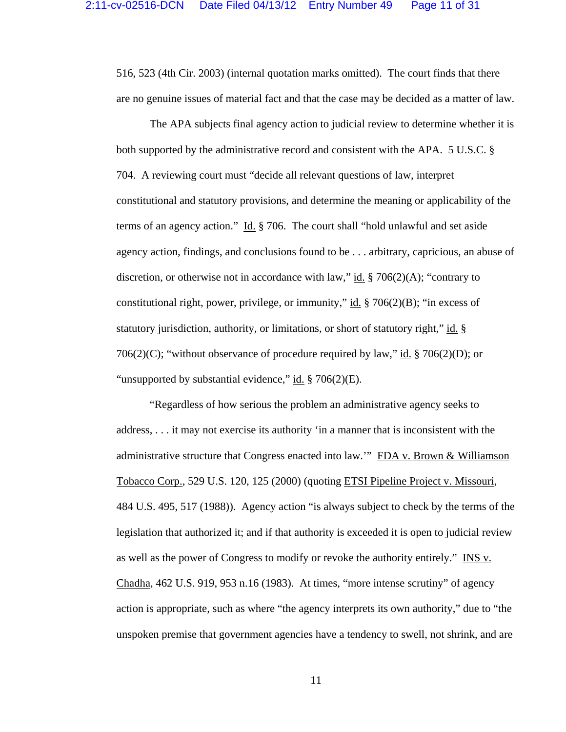516, 523 (4th Cir. 2003) (internal quotation marks omitted). The court finds that there are no genuine issues of material fact and that the case may be decided as a matter of law.

 The APA subjects final agency action to judicial review to determine whether it is both supported by the administrative record and consistent with the APA. 5 U.S.C. § 704. A reviewing court must "decide all relevant questions of law, interpret constitutional and statutory provisions, and determine the meaning or applicability of the terms of an agency action." Id. § 706. The court shall "hold unlawful and set aside agency action, findings, and conclusions found to be . . . arbitrary, capricious, an abuse of discretion, or otherwise not in accordance with law," id.  $\S 706(2)(A)$ ; "contrary to constitutional right, power, privilege, or immunity," id.  $\S$  706(2)(B); "in excess of statutory jurisdiction, authority, or limitations, or short of statutory right," id. § 706(2)(C); "without observance of procedure required by law," id.  $\S 706(2)(D)$ ; or "unsupported by substantial evidence," id. § 706(2)(E).

 "Regardless of how serious the problem an administrative agency seeks to address, . . . it may not exercise its authority 'in a manner that is inconsistent with the administrative structure that Congress enacted into law.'" FDA v. Brown & Williamson Tobacco Corp., 529 U.S. 120, 125 (2000) (quoting ETSI Pipeline Project v. Missouri, 484 U.S. 495, 517 (1988)). Agency action "is always subject to check by the terms of the legislation that authorized it; and if that authority is exceeded it is open to judicial review as well as the power of Congress to modify or revoke the authority entirely." INS v. Chadha, 462 U.S. 919, 953 n.16 (1983). At times, "more intense scrutiny" of agency action is appropriate, such as where "the agency interprets its own authority," due to "the unspoken premise that government agencies have a tendency to swell, not shrink, and are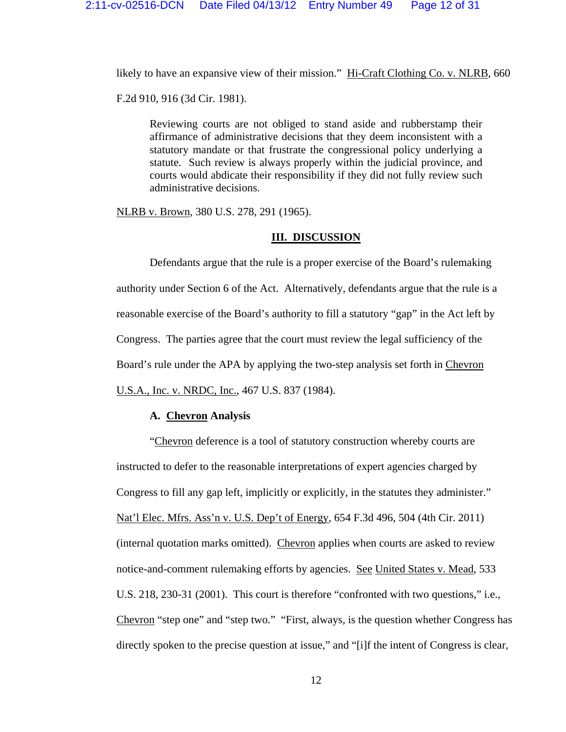likely to have an expansive view of their mission." Hi-Craft Clothing Co. v. NLRB, 660

F.2d 910, 916 (3d Cir. 1981).

Reviewing courts are not obliged to stand aside and rubberstamp their affirmance of administrative decisions that they deem inconsistent with a statutory mandate or that frustrate the congressional policy underlying a statute. Such review is always properly within the judicial province, and courts would abdicate their responsibility if they did not fully review such administrative decisions.

NLRB v. Brown, 380 U.S. 278, 291 (1965).

### **III. DISCUSSION**

 Defendants argue that the rule is a proper exercise of the Board's rulemaking authority under Section 6 of the Act. Alternatively, defendants argue that the rule is a reasonable exercise of the Board's authority to fill a statutory "gap" in the Act left by Congress. The parties agree that the court must review the legal sufficiency of the Board's rule under the APA by applying the two-step analysis set forth in Chevron U.S.A., Inc. v. NRDC, Inc., 467 U.S. 837 (1984).

## **A. Chevron Analysis**

 "Chevron deference is a tool of statutory construction whereby courts are instructed to defer to the reasonable interpretations of expert agencies charged by Congress to fill any gap left, implicitly or explicitly, in the statutes they administer." Nat'l Elec. Mfrs. Ass'n v. U.S. Dep't of Energy, 654 F.3d 496, 504 (4th Cir. 2011) (internal quotation marks omitted). Chevron applies when courts are asked to review notice-and-comment rulemaking efforts by agencies. See United States v. Mead, 533 U.S. 218, 230-31 (2001). This court is therefore "confronted with two questions," i.e., Chevron "step one" and "step two." "First, always, is the question whether Congress has directly spoken to the precise question at issue," and "[i]f the intent of Congress is clear,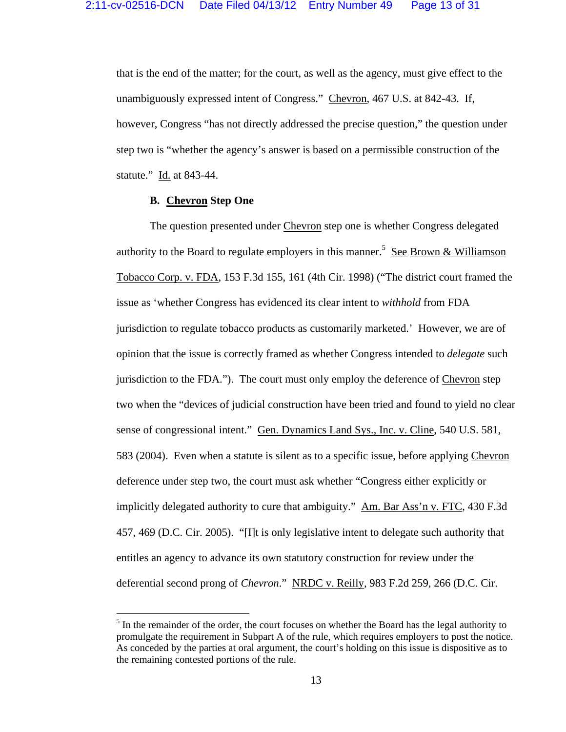that is the end of the matter; for the court, as well as the agency, must give effect to the unambiguously expressed intent of Congress." Chevron, 467 U.S. at 842-43. If, however, Congress "has not directly addressed the precise question," the question under step two is "whether the agency's answer is based on a permissible construction of the statute." Id. at 843-44.

# **B. Chevron Step One**

 The question presented under Chevron step one is whether Congress delegated authority to the Board to regulate employers in this manner.<sup>5</sup> See Brown & Williamson Tobacco Corp. v. FDA, 153 F.3d 155, 161 (4th Cir. 1998) ("The district court framed the issue as 'whether Congress has evidenced its clear intent to *withhold* from FDA jurisdiction to regulate tobacco products as customarily marketed.' However, we are of opinion that the issue is correctly framed as whether Congress intended to *delegate* such jurisdiction to the FDA."). The court must only employ the deference of Chevron step two when the "devices of judicial construction have been tried and found to yield no clear sense of congressional intent." Gen. Dynamics Land Sys., Inc. v. Cline, 540 U.S. 581, 583 (2004). Even when a statute is silent as to a specific issue, before applying Chevron deference under step two, the court must ask whether "Congress either explicitly or implicitly delegated authority to cure that ambiguity." Am. Bar Ass'n v. FTC, 430 F.3d 457, 469 (D.C. Cir. 2005). "[I]t is only legislative intent to delegate such authority that entitles an agency to advance its own statutory construction for review under the deferential second prong of *Chevron*." NRDC v. Reilly, 983 F.2d 259, 266 (D.C. Cir.

 $<sup>5</sup>$  In the remainder of the order, the court focuses on whether the Board has the legal authority to</sup> promulgate the requirement in Subpart A of the rule, which requires employers to post the notice. As conceded by the parties at oral argument, the court's holding on this issue is dispositive as to the remaining contested portions of the rule.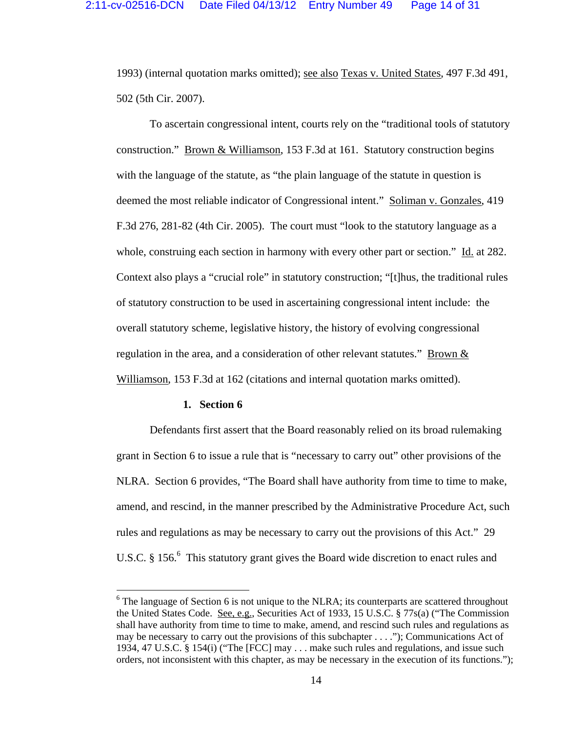1993) (internal quotation marks omitted); see also Texas v. United States, 497 F.3d 491, 502 (5th Cir. 2007).

 To ascertain congressional intent, courts rely on the "traditional tools of statutory construction." Brown & Williamson, 153 F.3d at 161. Statutory construction begins with the language of the statute, as "the plain language of the statute in question is deemed the most reliable indicator of Congressional intent." Soliman v. Gonzales, 419 F.3d 276, 281-82 (4th Cir. 2005). The court must "look to the statutory language as a whole, construing each section in harmony with every other part or section." Id. at 282. Context also plays a "crucial role" in statutory construction; "[t]hus, the traditional rules of statutory construction to be used in ascertaining congressional intent include: the overall statutory scheme, legislative history, the history of evolving congressional regulation in the area, and a consideration of other relevant statutes." Brown & Williamson, 153 F.3d at 162 (citations and internal quotation marks omitted).

#### **1. Section 6**

 Defendants first assert that the Board reasonably relied on its broad rulemaking grant in Section 6 to issue a rule that is "necessary to carry out" other provisions of the NLRA. Section 6 provides, "The Board shall have authority from time to time to make, amend, and rescind, in the manner prescribed by the Administrative Procedure Act, such rules and regulations as may be necessary to carry out the provisions of this Act." 29 U.S.C.  $\S 156$ . This statutory grant gives the Board wide discretion to enact rules and

 $6$  The language of Section 6 is not unique to the NLRA; its counterparts are scattered throughout the United States Code. See, e.g., Securities Act of 1933, 15 U.S.C. § 77s(a) ("The Commission" shall have authority from time to time to make, amend, and rescind such rules and regulations as may be necessary to carry out the provisions of this subchapter . . . ."); Communications Act of 1934, 47 U.S.C. § 154(i) ("The [FCC] may . . . make such rules and regulations, and issue such orders, not inconsistent with this chapter, as may be necessary in the execution of its functions.");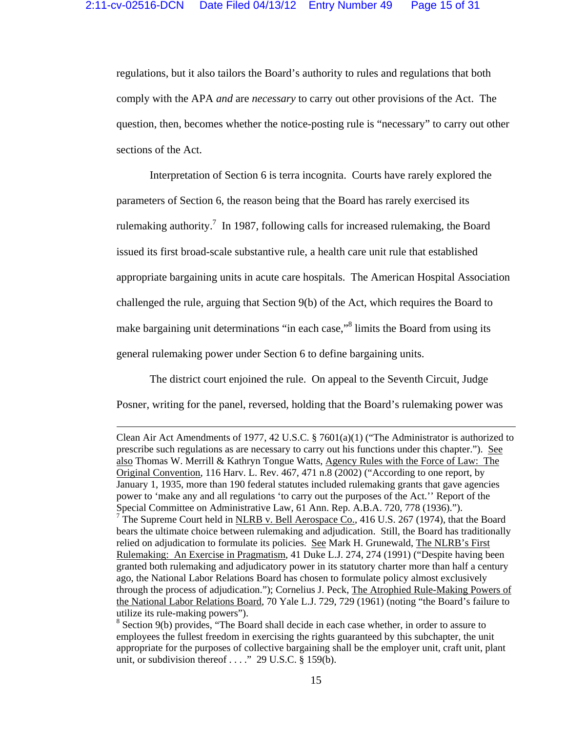regulations, but it also tailors the Board's authority to rules and regulations that both comply with the APA *and* are *necessary* to carry out other provisions of the Act. The question, then, becomes whether the notice-posting rule is "necessary" to carry out other sections of the Act.

 Interpretation of Section 6 is terra incognita. Courts have rarely explored the parameters of Section 6, the reason being that the Board has rarely exercised its rulemaking authority.<sup>7</sup> In 1987, following calls for increased rulemaking, the Board issued its first broad-scale substantive rule, a health care unit rule that established appropriate bargaining units in acute care hospitals. The American Hospital Association challenged the rule, arguing that Section 9(b) of the Act, which requires the Board to make bargaining unit determinations "in each case,"<sup>8</sup> limits the Board from using its general rulemaking power under Section 6 to define bargaining units.

 The district court enjoined the rule. On appeal to the Seventh Circuit, Judge Posner, writing for the panel, reversed, holding that the Board's rulemaking power was

<u> 1989 - Johann Stoff, fransk politik (d. 1989)</u>

Clean Air Act Amendments of 1977, 42 U.S.C. § 7601(a)(1) ("The Administrator is authorized to prescribe such regulations as are necessary to carry out his functions under this chapter."). See also Thomas W. Merrill & Kathryn Tongue Watts, Agency Rules with the Force of Law: The Original Convention, 116 Harv. L. Rev. 467, 471 n.8 (2002) ("According to one report, by January 1, 1935, more than 190 federal statutes included rulemaking grants that gave agencies power to 'make any and all regulations 'to carry out the purposes of the Act.'' Report of the Special Committee on Administrative Law, 61 Ann. Rep. A.B.A. 720, 778 (1936)."). <sup>7</sup> The Supreme Court held in <u>NLRB v. Bell Aerospace Co.,</u> 416 U.S. 267 (1974), that the Board bears the ultimate choice between rulemaking and adjudication. Still, the Board has traditionally relied on adjudication to formulate its policies. See Mark H. Grunewald, The NLRB's First Rulemaking: An Exercise in Pragmatism, 41 Duke L.J. 274, 274 (1991) ("Despite having been granted both rulemaking and adjudicatory power in its statutory charter more than half a century ago, the National Labor Relations Board has chosen to formulate policy almost exclusively through the process of adjudication."); Cornelius J. Peck, The Atrophied Rule-Making Powers of the National Labor Relations Board, 70 Yale L.J. 729, 729 (1961) (noting "the Board's failure to utilize its rule-making powers").

<sup>&</sup>lt;sup>8</sup> Section 9(b) provides, "The Board shall decide in each case whether, in order to assure to employees the fullest freedom in exercising the rights guaranteed by this subchapter, the unit appropriate for the purposes of collective bargaining shall be the employer unit, craft unit, plant unit, or subdivision thereof  $\ldots$ ." 29 U.S.C. § 159(b).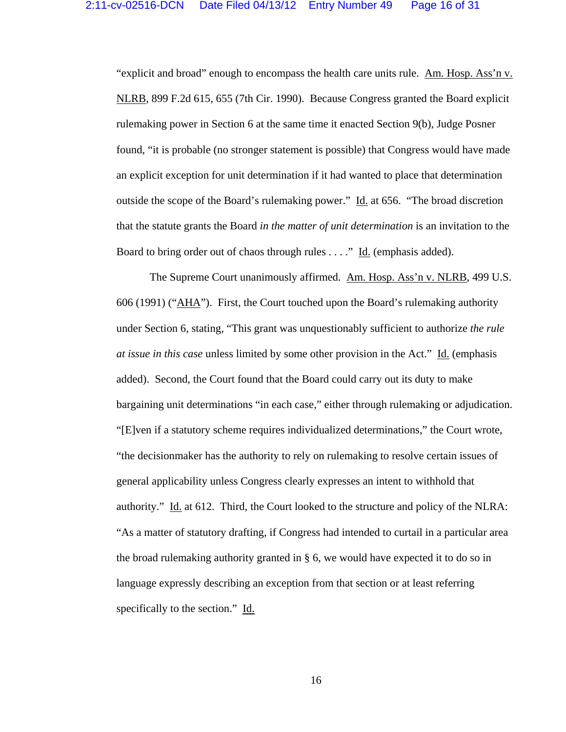"explicit and broad" enough to encompass the health care units rule. Am. Hosp. Ass'n v. NLRB, 899 F.2d 615, 655 (7th Cir. 1990). Because Congress granted the Board explicit rulemaking power in Section 6 at the same time it enacted Section 9(b), Judge Posner found, "it is probable (no stronger statement is possible) that Congress would have made an explicit exception for unit determination if it had wanted to place that determination outside the scope of the Board's rulemaking power." Id. at 656. "The broad discretion that the statute grants the Board *in the matter of unit determination* is an invitation to the Board to bring order out of chaos through rules . . . ." Id. (emphasis added).

 The Supreme Court unanimously affirmed. Am. Hosp. Ass'n v. NLRB, 499 U.S. 606 (1991) ("AHA"). First, the Court touched upon the Board's rulemaking authority under Section 6, stating, "This grant was unquestionably sufficient to authorize *the rule at issue in this case* unless limited by some other provision in the Act." Id. (emphasis added). Second, the Court found that the Board could carry out its duty to make bargaining unit determinations "in each case," either through rulemaking or adjudication. "[E]ven if a statutory scheme requires individualized determinations," the Court wrote, "the decisionmaker has the authority to rely on rulemaking to resolve certain issues of general applicability unless Congress clearly expresses an intent to withhold that authority." Id. at 612. Third, the Court looked to the structure and policy of the NLRA: "As a matter of statutory drafting, if Congress had intended to curtail in a particular area the broad rulemaking authority granted in § 6, we would have expected it to do so in language expressly describing an exception from that section or at least referring specifically to the section." Id.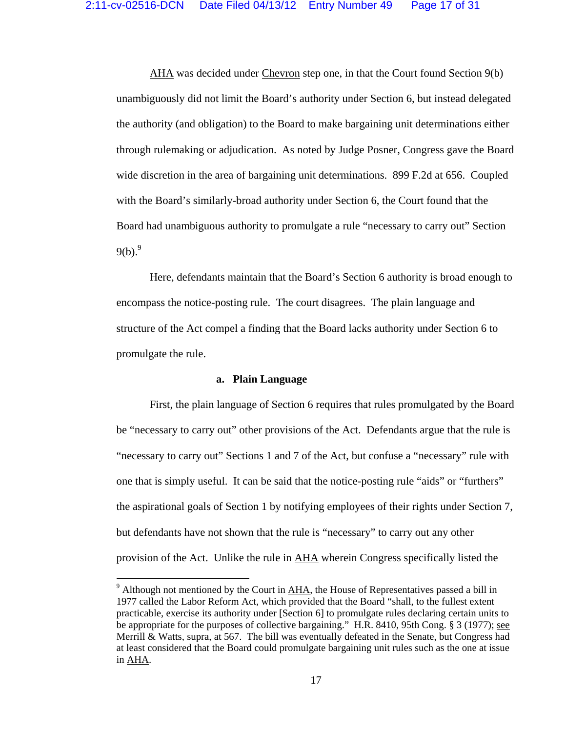AHA was decided under Chevron step one, in that the Court found Section 9(b) unambiguously did not limit the Board's authority under Section 6, but instead delegated the authority (and obligation) to the Board to make bargaining unit determinations either through rulemaking or adjudication. As noted by Judge Posner, Congress gave the Board wide discretion in the area of bargaining unit determinations. 899 F.2d at 656. Coupled with the Board's similarly-broad authority under Section 6, the Court found that the Board had unambiguous authority to promulgate a rule "necessary to carry out" Section  $9(b)^9$ .

 Here, defendants maintain that the Board's Section 6 authority is broad enough to encompass the notice-posting rule. The court disagrees. The plain language and structure of the Act compel a finding that the Board lacks authority under Section 6 to promulgate the rule.

### **a. Plain Language**

 First, the plain language of Section 6 requires that rules promulgated by the Board be "necessary to carry out" other provisions of the Act. Defendants argue that the rule is "necessary to carry out" Sections 1 and 7 of the Act, but confuse a "necessary" rule with one that is simply useful. It can be said that the notice-posting rule "aids" or "furthers" the aspirational goals of Section 1 by notifying employees of their rights under Section 7, but defendants have not shown that the rule is "necessary" to carry out any other provision of the Act. Unlike the rule in AHA wherein Congress specifically listed the

 $9^9$  Although not mentioned by the Court in  $\overline{AHA}$ , the House of Representatives passed a bill in 1977 called the Labor Reform Act, which provided that the Board "shall, to the fullest extent practicable, exercise its authority under [Section 6] to promulgate rules declaring certain units to be appropriate for the purposes of collective bargaining." H.R. 8410, 95th Cong. § 3 (1977); see Merrill & Watts, supra, at 567. The bill was eventually defeated in the Senate, but Congress had at least considered that the Board could promulgate bargaining unit rules such as the one at issue in AHA.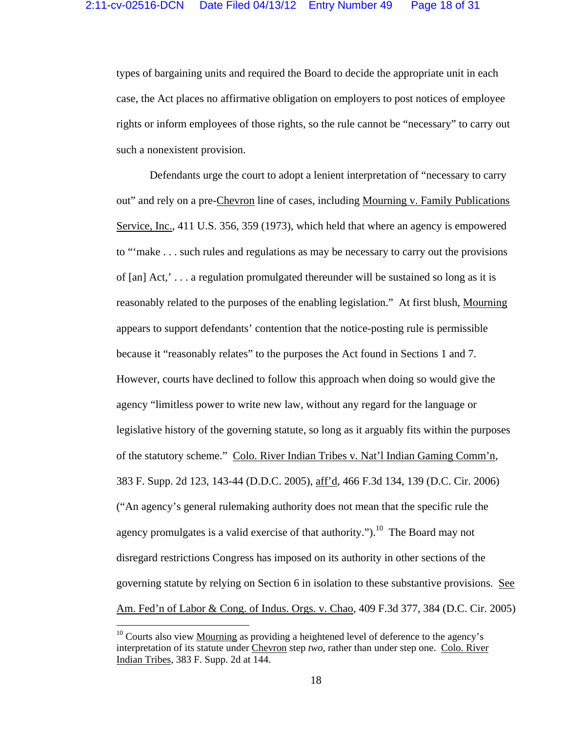types of bargaining units and required the Board to decide the appropriate unit in each case, the Act places no affirmative obligation on employers to post notices of employee rights or inform employees of those rights, so the rule cannot be "necessary" to carry out such a nonexistent provision.

 Defendants urge the court to adopt a lenient interpretation of "necessary to carry out" and rely on a pre-Chevron line of cases, including Mourning v. Family Publications Service, Inc., 411 U.S. 356, 359 (1973), which held that where an agency is empowered to "'make . . . such rules and regulations as may be necessary to carry out the provisions of [an] Act,' . . . a regulation promulgated thereunder will be sustained so long as it is reasonably related to the purposes of the enabling legislation." At first blush, Mourning appears to support defendants' contention that the notice-posting rule is permissible because it "reasonably relates" to the purposes the Act found in Sections 1 and 7. However, courts have declined to follow this approach when doing so would give the agency "limitless power to write new law, without any regard for the language or legislative history of the governing statute, so long as it arguably fits within the purposes of the statutory scheme." Colo. River Indian Tribes v. Nat'l Indian Gaming Comm'n, 383 F. Supp. 2d 123, 143-44 (D.D.C. 2005), aff'd, 466 F.3d 134, 139 (D.C. Cir. 2006) ("An agency's general rulemaking authority does not mean that the specific rule the agency promulgates is a valid exercise of that authority.").<sup>10</sup> The Board may not disregard restrictions Congress has imposed on its authority in other sections of the governing statute by relying on Section 6 in isolation to these substantive provisions. See Am. Fed'n of Labor & Cong. of Indus. Orgs. v. Chao, 409 F.3d 377, 384 (D.C. Cir. 2005)

 $10$  Courts also view Mourning as providing a heightened level of deference to the agency's interpretation of its statute under Chevron step *two*, rather than under step one. Colo. River Indian Tribes, 383 F. Supp. 2d at 144.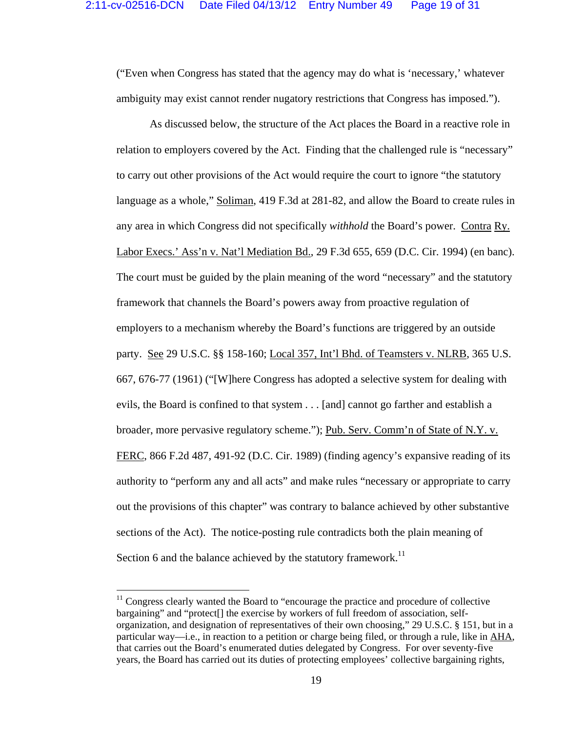("Even when Congress has stated that the agency may do what is 'necessary,' whatever ambiguity may exist cannot render nugatory restrictions that Congress has imposed.").

 As discussed below, the structure of the Act places the Board in a reactive role in relation to employers covered by the Act. Finding that the challenged rule is "necessary" to carry out other provisions of the Act would require the court to ignore "the statutory language as a whole," Soliman, 419 F.3d at 281-82, and allow the Board to create rules in any area in which Congress did not specifically *withhold* the Board's power. Contra Ry. Labor Execs.' Ass'n v. Nat'l Mediation Bd., 29 F.3d 655, 659 (D.C. Cir. 1994) (en banc). The court must be guided by the plain meaning of the word "necessary" and the statutory framework that channels the Board's powers away from proactive regulation of employers to a mechanism whereby the Board's functions are triggered by an outside party. See 29 U.S.C. §§ 158-160; Local 357, Int'l Bhd. of Teamsters v. NLRB, 365 U.S. 667, 676-77 (1961) ("[W]here Congress has adopted a selective system for dealing with evils, the Board is confined to that system . . . [and] cannot go farther and establish a broader, more pervasive regulatory scheme."); Pub. Serv. Comm'n of State of N.Y. v. FERC, 866 F.2d 487, 491-92 (D.C. Cir. 1989) (finding agency's expansive reading of its authority to "perform any and all acts" and make rules "necessary or appropriate to carry out the provisions of this chapter" was contrary to balance achieved by other substantive sections of the Act). The notice-posting rule contradicts both the plain meaning of Section 6 and the balance achieved by the statutory framework.<sup>11</sup>

 $11$  Congress clearly wanted the Board to "encourage the practice and procedure of collective" bargaining" and "protect[] the exercise by workers of full freedom of association, selforganization, and designation of representatives of their own choosing," 29 U.S.C. § 151, but in a particular way—i.e., in reaction to a petition or charge being filed, or through a rule, like in AHA, that carries out the Board's enumerated duties delegated by Congress. For over seventy-five years, the Board has carried out its duties of protecting employees' collective bargaining rights,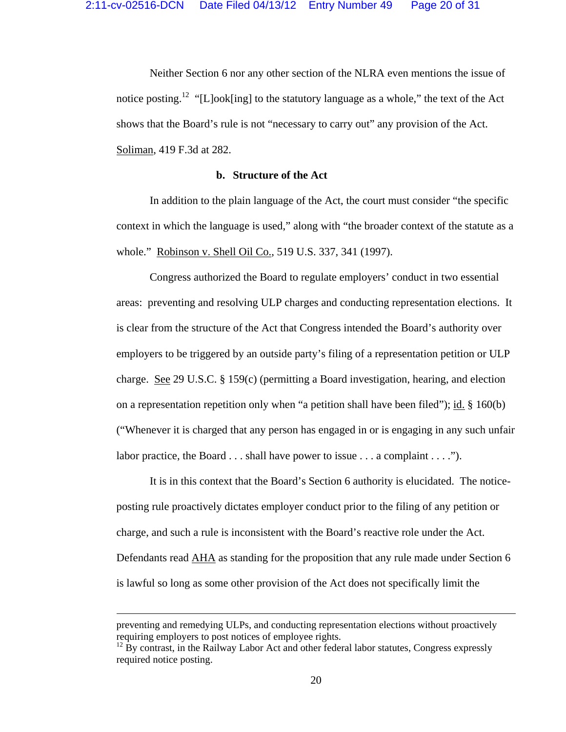Neither Section 6 nor any other section of the NLRA even mentions the issue of notice posting.<sup>12</sup> "[L]ook[ing] to the statutory language as a whole," the text of the Act shows that the Board's rule is not "necessary to carry out" any provision of the Act. Soliman, 419 F.3d at 282.

## **b. Structure of the Act**

 In addition to the plain language of the Act, the court must consider "the specific context in which the language is used," along with "the broader context of the statute as a whole." Robinson v. Shell Oil Co., 519 U.S. 337, 341 (1997).

 Congress authorized the Board to regulate employers' conduct in two essential areas: preventing and resolving ULP charges and conducting representation elections. It is clear from the structure of the Act that Congress intended the Board's authority over employers to be triggered by an outside party's filing of a representation petition or ULP charge. See 29 U.S.C. § 159(c) (permitting a Board investigation, hearing, and election on a representation repetition only when "a petition shall have been filed"); id.  $\S$  160(b) ("Whenever it is charged that any person has engaged in or is engaging in any such unfair labor practice, the Board . . . shall have power to issue . . . a complaint . . . .").

 It is in this context that the Board's Section 6 authority is elucidated. The noticeposting rule proactively dictates employer conduct prior to the filing of any petition or charge, and such a rule is inconsistent with the Board's reactive role under the Act. Defendants read AHA as standing for the proposition that any rule made under Section 6 is lawful so long as some other provision of the Act does not specifically limit the

<u> 1989 - Johann Stoff, fransk politik (d. 1989)</u>

preventing and remedying ULPs, and conducting representation elections without proactively requiring employers to post notices of employee rights.

 $12$  By contrast, in the Railway Labor Act and other federal labor statutes, Congress expressly required notice posting.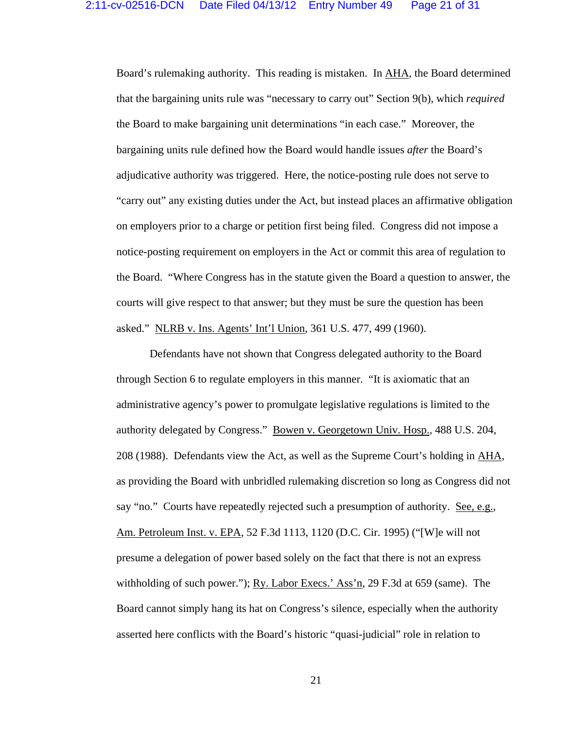Board's rulemaking authority. This reading is mistaken. In AHA, the Board determined that the bargaining units rule was "necessary to carry out" Section 9(b), which *required* the Board to make bargaining unit determinations "in each case." Moreover, the bargaining units rule defined how the Board would handle issues *after* the Board's adjudicative authority was triggered. Here, the notice-posting rule does not serve to "carry out" any existing duties under the Act, but instead places an affirmative obligation on employers prior to a charge or petition first being filed. Congress did not impose a notice-posting requirement on employers in the Act or commit this area of regulation to the Board. "Where Congress has in the statute given the Board a question to answer, the courts will give respect to that answer; but they must be sure the question has been asked." NLRB v. Ins. Agents' Int'l Union, 361 U.S. 477, 499 (1960).

 Defendants have not shown that Congress delegated authority to the Board through Section 6 to regulate employers in this manner. "It is axiomatic that an administrative agency's power to promulgate legislative regulations is limited to the authority delegated by Congress." Bowen v. Georgetown Univ. Hosp., 488 U.S. 204, 208 (1988). Defendants view the Act, as well as the Supreme Court's holding in AHA, as providing the Board with unbridled rulemaking discretion so long as Congress did not say "no." Courts have repeatedly rejected such a presumption of authority. See, e.g., Am. Petroleum Inst. v. EPA, 52 F.3d 1113, 1120 (D.C. Cir. 1995) ("[W]e will not presume a delegation of power based solely on the fact that there is not an express withholding of such power."); Ry. Labor Execs.' Ass'n, 29 F.3d at 659 (same). The Board cannot simply hang its hat on Congress's silence, especially when the authority asserted here conflicts with the Board's historic "quasi-judicial" role in relation to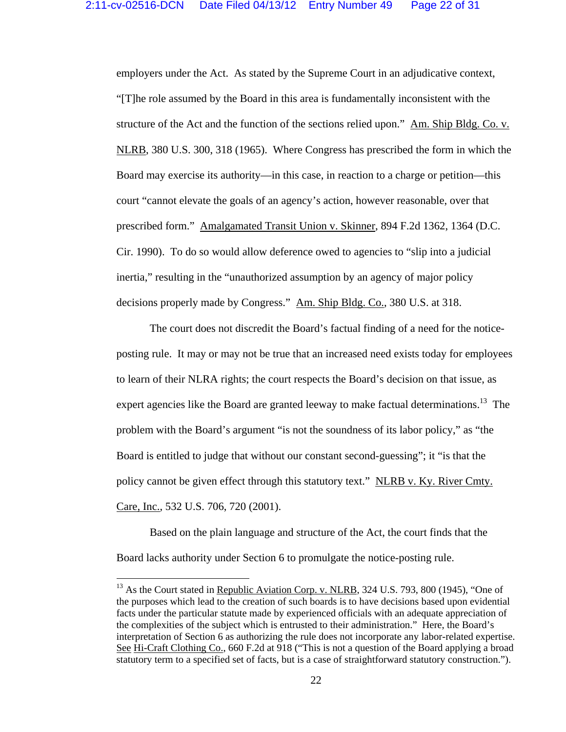employers under the Act. As stated by the Supreme Court in an adjudicative context, "[T]he role assumed by the Board in this area is fundamentally inconsistent with the structure of the Act and the function of the sections relied upon." Am. Ship Bldg. Co. v. NLRB, 380 U.S. 300, 318 (1965). Where Congress has prescribed the form in which the Board may exercise its authority—in this case, in reaction to a charge or petition—this court "cannot elevate the goals of an agency's action, however reasonable, over that prescribed form." Amalgamated Transit Union v. Skinner, 894 F.2d 1362, 1364 (D.C. Cir. 1990). To do so would allow deference owed to agencies to "slip into a judicial inertia," resulting in the "unauthorized assumption by an agency of major policy decisions properly made by Congress." Am. Ship Bldg. Co., 380 U.S. at 318.

 The court does not discredit the Board's factual finding of a need for the noticeposting rule. It may or may not be true that an increased need exists today for employees to learn of their NLRA rights; the court respects the Board's decision on that issue, as expert agencies like the Board are granted leeway to make factual determinations.<sup>13</sup> The problem with the Board's argument "is not the soundness of its labor policy," as "the Board is entitled to judge that without our constant second-guessing"; it "is that the policy cannot be given effect through this statutory text." NLRB v. Ky. River Cmty. Care, Inc., 532 U.S. 706, 720 (2001).

 Based on the plain language and structure of the Act, the court finds that the Board lacks authority under Section 6 to promulgate the notice-posting rule.

 $^{13}$  As the Court stated in Republic Aviation Corp. v. NLRB, 324 U.S. 793, 800 (1945), "One of the purposes which lead to the creation of such boards is to have decisions based upon evidential facts under the particular statute made by experienced officials with an adequate appreciation of the complexities of the subject which is entrusted to their administration." Here, the Board's interpretation of Section 6 as authorizing the rule does not incorporate any labor-related expertise. See Hi-Craft Clothing Co., 660 F.2d at 918 ("This is not a question of the Board applying a broad statutory term to a specified set of facts, but is a case of straightforward statutory construction.").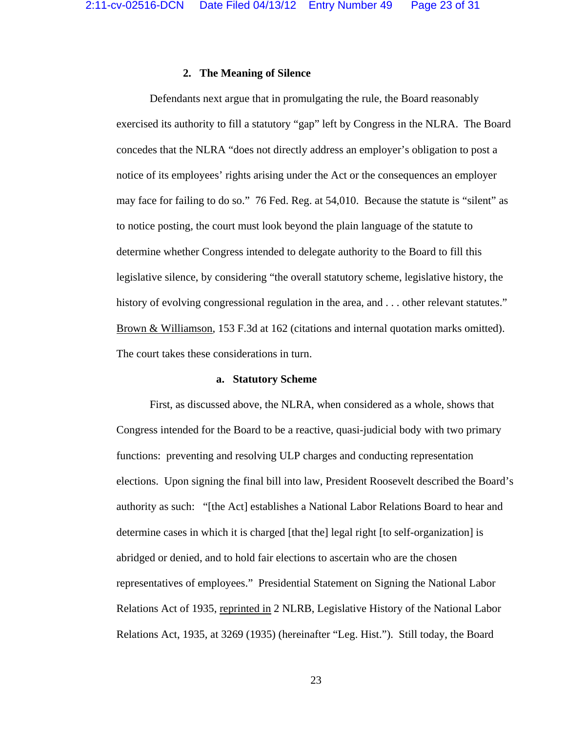### **2. The Meaning of Silence**

Defendants next argue that in promulgating the rule, the Board reasonably exercised its authority to fill a statutory "gap" left by Congress in the NLRA. The Board concedes that the NLRA "does not directly address an employer's obligation to post a notice of its employees' rights arising under the Act or the consequences an employer may face for failing to do so." 76 Fed. Reg. at 54,010. Because the statute is "silent" as to notice posting, the court must look beyond the plain language of the statute to determine whether Congress intended to delegate authority to the Board to fill this legislative silence, by considering "the overall statutory scheme, legislative history, the history of evolving congressional regulation in the area, and . . . other relevant statutes." Brown & Williamson, 153 F.3d at 162 (citations and internal quotation marks omitted). The court takes these considerations in turn.

### **a. Statutory Scheme**

 First, as discussed above, the NLRA, when considered as a whole, shows that Congress intended for the Board to be a reactive, quasi-judicial body with two primary functions: preventing and resolving ULP charges and conducting representation elections. Upon signing the final bill into law, President Roosevelt described the Board's authority as such: "[the Act] establishes a National Labor Relations Board to hear and determine cases in which it is charged [that the] legal right [to self-organization] is abridged or denied, and to hold fair elections to ascertain who are the chosen representatives of employees." Presidential Statement on Signing the National Labor Relations Act of 1935, reprinted in 2 NLRB, Legislative History of the National Labor Relations Act, 1935, at 3269 (1935) (hereinafter "Leg. Hist."). Still today, the Board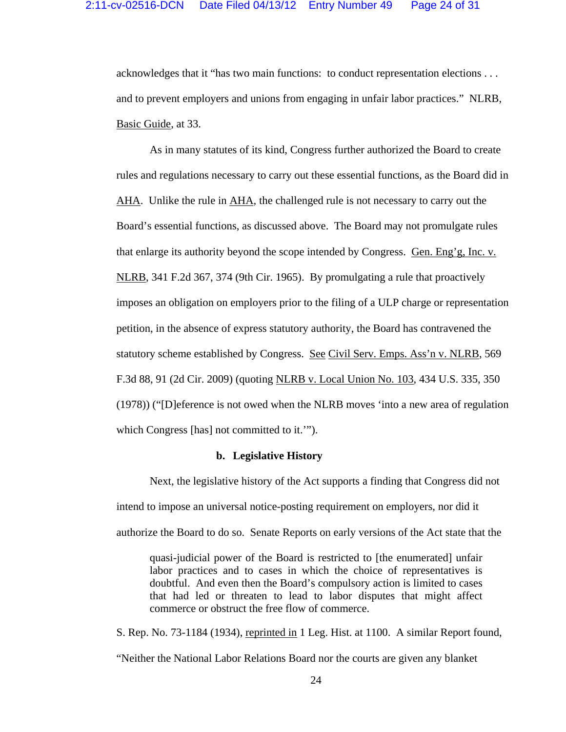acknowledges that it "has two main functions: to conduct representation elections . . . and to prevent employers and unions from engaging in unfair labor practices." NLRB, Basic Guide, at 33.

 As in many statutes of its kind, Congress further authorized the Board to create rules and regulations necessary to carry out these essential functions, as the Board did in AHA. Unlike the rule in AHA, the challenged rule is not necessary to carry out the Board's essential functions, as discussed above. The Board may not promulgate rules that enlarge its authority beyond the scope intended by Congress. Gen. Eng'g, Inc. v. NLRB, 341 F.2d 367, 374 (9th Cir. 1965). By promulgating a rule that proactively imposes an obligation on employers prior to the filing of a ULP charge or representation petition, in the absence of express statutory authority, the Board has contravened the statutory scheme established by Congress. See Civil Serv. Emps. Ass'n v. NLRB, 569 F.3d 88, 91 (2d Cir. 2009) (quoting NLRB v. Local Union No. 103, 434 U.S. 335, 350 (1978)) ("[D]eference is not owed when the NLRB moves 'into a new area of regulation which Congress [has] not committed to it.'").

#### **b. Legislative History**

 Next, the legislative history of the Act supports a finding that Congress did not intend to impose an universal notice-posting requirement on employers, nor did it authorize the Board to do so. Senate Reports on early versions of the Act state that the

quasi-judicial power of the Board is restricted to [the enumerated] unfair labor practices and to cases in which the choice of representatives is doubtful. And even then the Board's compulsory action is limited to cases that had led or threaten to lead to labor disputes that might affect commerce or obstruct the free flow of commerce.

S. Rep. No. 73-1184 (1934), reprinted in 1 Leg. Hist. at 1100. A similar Report found, "Neither the National Labor Relations Board nor the courts are given any blanket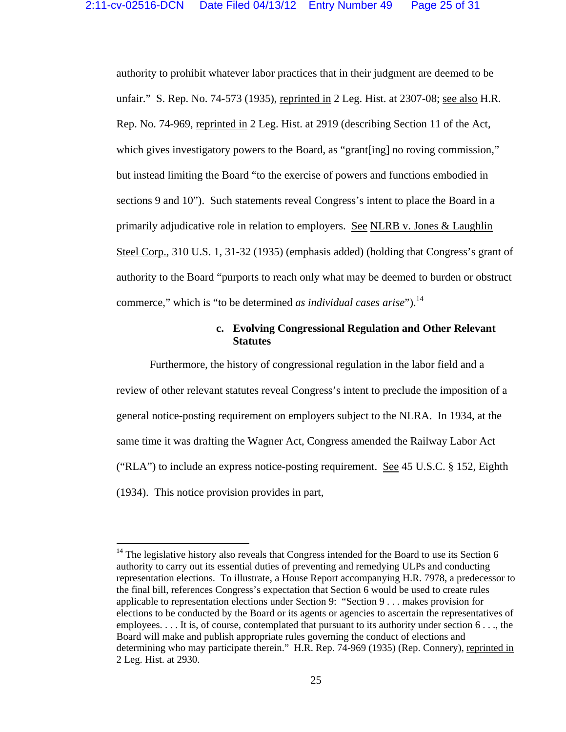authority to prohibit whatever labor practices that in their judgment are deemed to be unfair." S. Rep. No. 74-573 (1935), reprinted in 2 Leg. Hist. at 2307-08; see also H.R. Rep. No. 74-969, reprinted in 2 Leg. Hist. at 2919 (describing Section 11 of the Act, which gives investigatory powers to the Board, as "grant[ing] no roving commission," but instead limiting the Board "to the exercise of powers and functions embodied in sections 9 and 10"). Such statements reveal Congress's intent to place the Board in a primarily adjudicative role in relation to employers. See NLRB v. Jones & Laughlin Steel Corp., 310 U.S. 1, 31-32 (1935) (emphasis added) (holding that Congress's grant of authority to the Board "purports to reach only what may be deemed to burden or obstruct commerce," which is "to be determined *as individual cases arise*").<sup>14</sup>

# **c. Evolving Congressional Regulation and Other Relevant Statutes**

 Furthermore, the history of congressional regulation in the labor field and a review of other relevant statutes reveal Congress's intent to preclude the imposition of a general notice-posting requirement on employers subject to the NLRA. In 1934, at the same time it was drafting the Wagner Act, Congress amended the Railway Labor Act ("RLA") to include an express notice-posting requirement. See 45 U.S.C. § 152, Eighth (1934). This notice provision provides in part,

 $14$  The legislative history also reveals that Congress intended for the Board to use its Section 6 authority to carry out its essential duties of preventing and remedying ULPs and conducting representation elections. To illustrate, a House Report accompanying H.R. 7978, a predecessor to the final bill, references Congress's expectation that Section 6 would be used to create rules applicable to representation elections under Section 9: "Section 9 . . . makes provision for elections to be conducted by the Board or its agents or agencies to ascertain the representatives of employees. . . . It is, of course, contemplated that pursuant to its authority under section 6 . . ., the Board will make and publish appropriate rules governing the conduct of elections and determining who may participate therein." H.R. Rep. 74-969 (1935) (Rep. Connery), reprinted in 2 Leg. Hist. at 2930.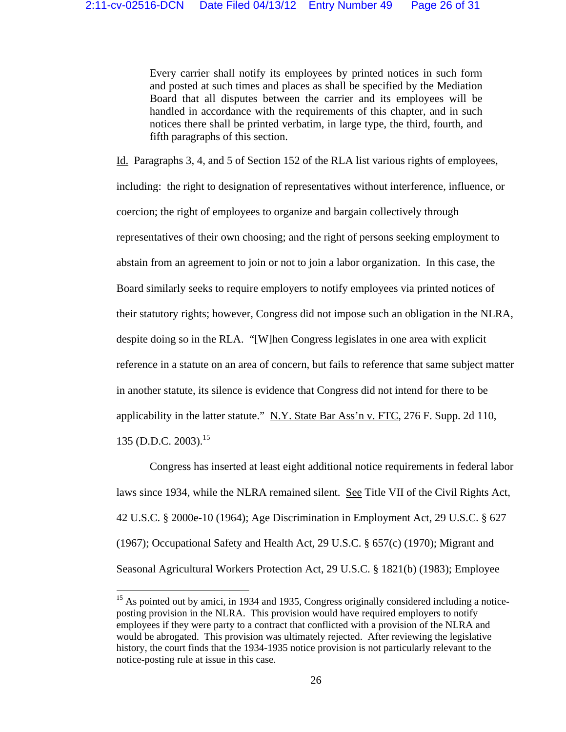Every carrier shall notify its employees by printed notices in such form and posted at such times and places as shall be specified by the Mediation Board that all disputes between the carrier and its employees will be handled in accordance with the requirements of this chapter, and in such notices there shall be printed verbatim, in large type, the third, fourth, and fifth paragraphs of this section.

Id. Paragraphs 3, 4, and 5 of Section 152 of the RLA list various rights of employees, including: the right to designation of representatives without interference, influence, or coercion; the right of employees to organize and bargain collectively through representatives of their own choosing; and the right of persons seeking employment to abstain from an agreement to join or not to join a labor organization. In this case, the Board similarly seeks to require employers to notify employees via printed notices of their statutory rights; however, Congress did not impose such an obligation in the NLRA, despite doing so in the RLA. "[W]hen Congress legislates in one area with explicit reference in a statute on an area of concern, but fails to reference that same subject matter in another statute, its silence is evidence that Congress did not intend for there to be applicability in the latter statute."  $N.Y.$  State Bar Ass'n v. FTC, 276 F. Supp. 2d 110, 135 (D.D.C. 2003).<sup>15</sup>

 Congress has inserted at least eight additional notice requirements in federal labor laws since 1934, while the NLRA remained silent. See Title VII of the Civil Rights Act, 42 U.S.C. § 2000e-10 (1964); Age Discrimination in Employment Act, 29 U.S.C. § 627 (1967); Occupational Safety and Health Act, 29 U.S.C. § 657(c) (1970); Migrant and Seasonal Agricultural Workers Protection Act, 29 U.S.C. § 1821(b) (1983); Employee

<sup>&</sup>lt;sup>15</sup> As pointed out by amici, in 1934 and 1935, Congress originally considered including a noticeposting provision in the NLRA. This provision would have required employers to notify employees if they were party to a contract that conflicted with a provision of the NLRA and would be abrogated. This provision was ultimately rejected. After reviewing the legislative history, the court finds that the 1934-1935 notice provision is not particularly relevant to the notice-posting rule at issue in this case.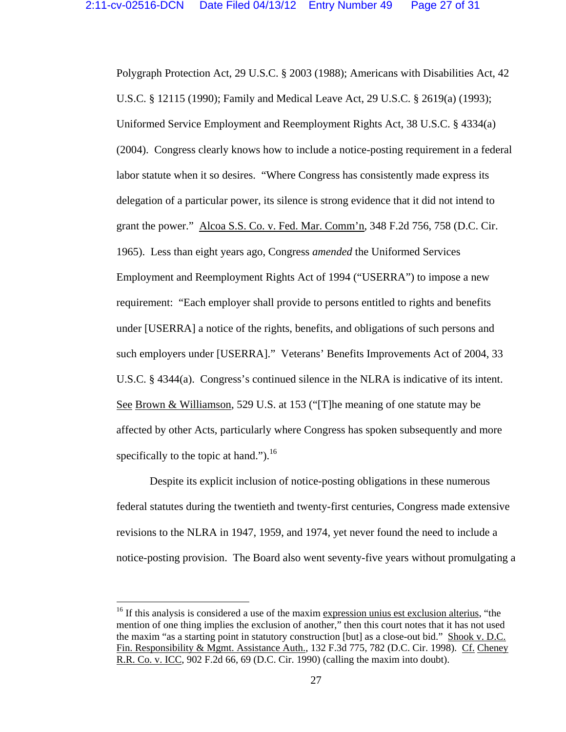Polygraph Protection Act, 29 U.S.C. § 2003 (1988); Americans with Disabilities Act, 42 U.S.C. § 12115 (1990); Family and Medical Leave Act, 29 U.S.C. § 2619(a) (1993); Uniformed Service Employment and Reemployment Rights Act, 38 U.S.C. § 4334(a) (2004). Congress clearly knows how to include a notice-posting requirement in a federal labor statute when it so desires. "Where Congress has consistently made express its delegation of a particular power, its silence is strong evidence that it did not intend to grant the power." Alcoa S.S. Co. v. Fed. Mar. Comm'n, 348 F.2d 756, 758 (D.C. Cir. 1965). Less than eight years ago, Congress *amended* the Uniformed Services Employment and Reemployment Rights Act of 1994 ("USERRA") to impose a new requirement: "Each employer shall provide to persons entitled to rights and benefits under [USERRA] a notice of the rights, benefits, and obligations of such persons and such employers under [USERRA]." Veterans' Benefits Improvements Act of 2004, 33 U.S.C. § 4344(a). Congress's continued silence in the NLRA is indicative of its intent. See Brown & Williamson, 529 U.S. at 153 ("[T]he meaning of one statute may be affected by other Acts, particularly where Congress has spoken subsequently and more specifically to the topic at hand." $b^{16}$ .

 Despite its explicit inclusion of notice-posting obligations in these numerous federal statutes during the twentieth and twenty-first centuries, Congress made extensive revisions to the NLRA in 1947, 1959, and 1974, yet never found the need to include a notice-posting provision. The Board also went seventy-five years without promulgating a

 $16$  If this analysis is considered a use of the maxim expression unius est exclusion alterius, "the mention of one thing implies the exclusion of another," then this court notes that it has not used the maxim "as a starting point in statutory construction [but] as a close-out bid." Shook v. D.C. Fin. Responsibility & Mgmt. Assistance Auth., 132 F.3d 775, 782 (D.C. Cir. 1998). Cf. Cheney R.R. Co. v. ICC, 902 F.2d 66, 69 (D.C. Cir. 1990) (calling the maxim into doubt).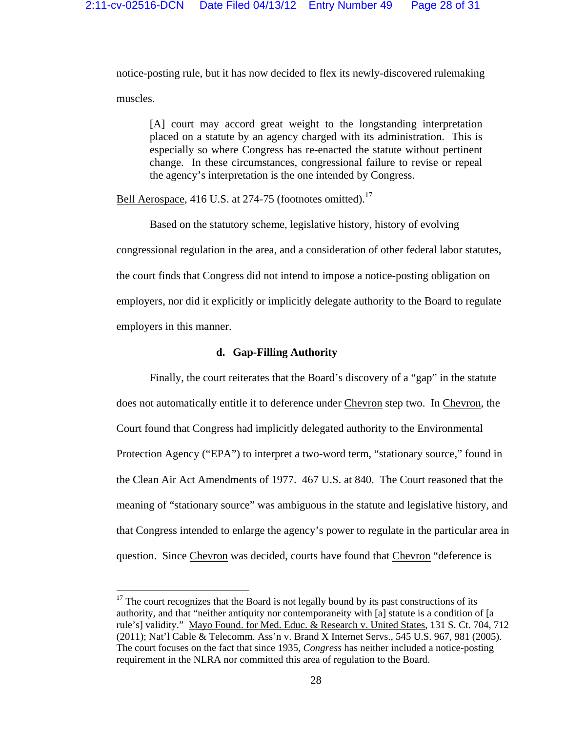notice-posting rule, but it has now decided to flex its newly-discovered rulemaking muscles.

[A] court may accord great weight to the longstanding interpretation placed on a statute by an agency charged with its administration. This is especially so where Congress has re-enacted the statute without pertinent change. In these circumstances, congressional failure to revise or repeal the agency's interpretation is the one intended by Congress.

Bell Aerospace, 416 U.S. at 274-75 (footnotes omitted).<sup>17</sup>

 Based on the statutory scheme, legislative history, history of evolving congressional regulation in the area, and a consideration of other federal labor statutes, the court finds that Congress did not intend to impose a notice-posting obligation on employers, nor did it explicitly or implicitly delegate authority to the Board to regulate employers in this manner.

## **d. Gap-Filling Authority**

 Finally, the court reiterates that the Board's discovery of a "gap" in the statute does not automatically entitle it to deference under Chevron step two. In Chevron, the Court found that Congress had implicitly delegated authority to the Environmental Protection Agency ("EPA") to interpret a two-word term, "stationary source," found in the Clean Air Act Amendments of 1977. 467 U.S. at 840. The Court reasoned that the meaning of "stationary source" was ambiguous in the statute and legislative history, and that Congress intended to enlarge the agency's power to regulate in the particular area in question. Since Chevron was decided, courts have found that Chevron "deference is

 $17$  The court recognizes that the Board is not legally bound by its past constructions of its authority, and that "neither antiquity nor contemporaneity with [a] statute is a condition of [a rule's] validity." Mayo Found. for Med. Educ. & Research v. United States, 131 S. Ct. 704, 712 (2011); Nat'l Cable & Telecomm. Ass'n v. Brand X Internet Servs., 545 U.S. 967, 981 (2005). The court focuses on the fact that since 1935, *Congress* has neither included a notice-posting requirement in the NLRA nor committed this area of regulation to the Board.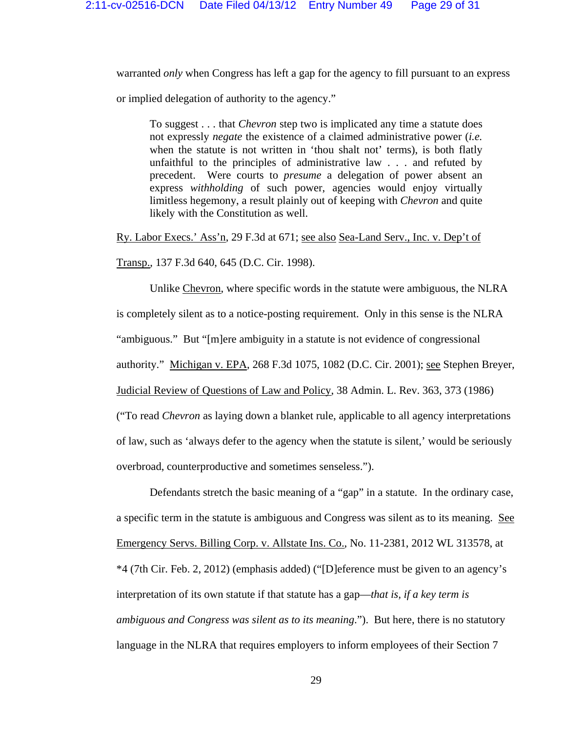warranted *only* when Congress has left a gap for the agency to fill pursuant to an express or implied delegation of authority to the agency."

To suggest . . . that *Chevron* step two is implicated any time a statute does not expressly *negate* the existence of a claimed administrative power (*i.e.* when the statute is not written in 'thou shalt not' terms), is both flatly unfaithful to the principles of administrative law . . . and refuted by precedent. Were courts to *presume* a delegation of power absent an express *withholding* of such power, agencies would enjoy virtually limitless hegemony, a result plainly out of keeping with *Chevron* and quite likely with the Constitution as well.

Ry. Labor Execs.' Ass'n, 29 F.3d at 671; see also Sea-Land Serv., Inc. v. Dep't of

Transp., 137 F.3d 640, 645 (D.C. Cir. 1998).

 Unlike Chevron, where specific words in the statute were ambiguous, the NLRA is completely silent as to a notice-posting requirement. Only in this sense is the NLRA "ambiguous." But "[m]ere ambiguity in a statute is not evidence of congressional authority." Michigan v. EPA, 268 F.3d 1075, 1082 (D.C. Cir. 2001); see Stephen Breyer, Judicial Review of Questions of Law and Policy, 38 Admin. L. Rev. 363, 373 (1986) ("To read *Chevron* as laying down a blanket rule, applicable to all agency interpretations of law, such as 'always defer to the agency when the statute is silent,' would be seriously overbroad, counterproductive and sometimes senseless.").

 Defendants stretch the basic meaning of a "gap" in a statute. In the ordinary case, a specific term in the statute is ambiguous and Congress was silent as to its meaning. See Emergency Servs. Billing Corp. v. Allstate Ins. Co., No. 11-2381, 2012 WL 313578, at \*4 (7th Cir. Feb. 2, 2012) (emphasis added) ("[D]eference must be given to an agency's interpretation of its own statute if that statute has a gap—*that is, if a key term is ambiguous and Congress was silent as to its meaning*."). But here, there is no statutory language in the NLRA that requires employers to inform employees of their Section 7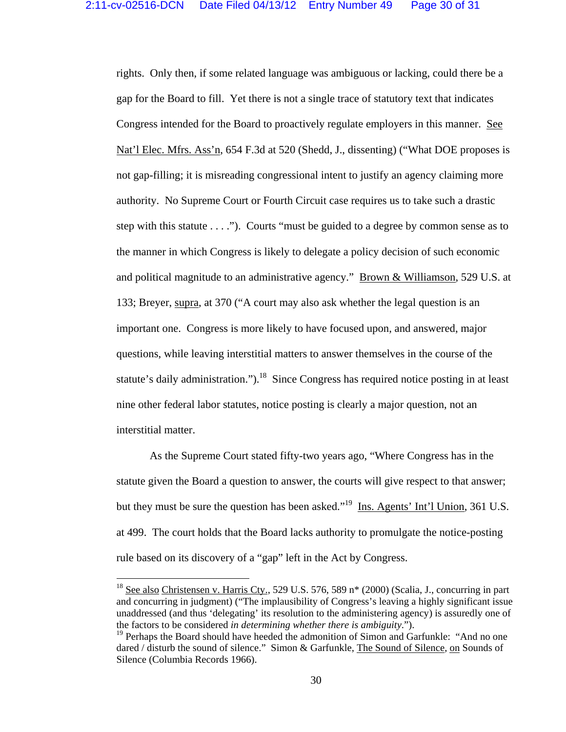rights. Only then, if some related language was ambiguous or lacking, could there be a gap for the Board to fill. Yet there is not a single trace of statutory text that indicates Congress intended for the Board to proactively regulate employers in this manner. See Nat'l Elec. Mfrs. Ass'n, 654 F.3d at 520 (Shedd, J., dissenting) ("What DOE proposes is not gap-filling; it is misreading congressional intent to justify an agency claiming more authority. No Supreme Court or Fourth Circuit case requires us to take such a drastic step with this statute . . . ."). Courts "must be guided to a degree by common sense as to the manner in which Congress is likely to delegate a policy decision of such economic and political magnitude to an administrative agency." Brown & Williamson, 529 U.S. at 133; Breyer, supra, at 370 ("A court may also ask whether the legal question is an important one. Congress is more likely to have focused upon, and answered, major questions, while leaving interstitial matters to answer themselves in the course of the statute's daily administration.").<sup>18</sup> Since Congress has required notice posting in at least nine other federal labor statutes, notice posting is clearly a major question, not an interstitial matter.

 As the Supreme Court stated fifty-two years ago, "Where Congress has in the statute given the Board a question to answer, the courts will give respect to that answer; but they must be sure the question has been asked."<sup>19</sup> Ins. Agents' Int'l Union, 361 U.S. at 499. The court holds that the Board lacks authority to promulgate the notice-posting rule based on its discovery of a "gap" left in the Act by Congress.

<sup>&</sup>lt;sup>18</sup> See also Christensen v. Harris Cty., 529 U.S. 576, 589 n<sup>\*</sup> (2000) (Scalia, J., concurring in part and concurring in judgment) ("The implausibility of Congress's leaving a highly significant issue unaddressed (and thus 'delegating' its resolution to the administering agency) is assuredly one of the factors to be considered *in determining whether there is ambiguity*.").

<sup>&</sup>lt;sup>19</sup> Perhaps the Board should have heeded the admonition of Simon and Garfunkle: "And no one dared / disturb the sound of silence." Simon & Garfunkle, The Sound of Silence, on Sounds of Silence (Columbia Records 1966).